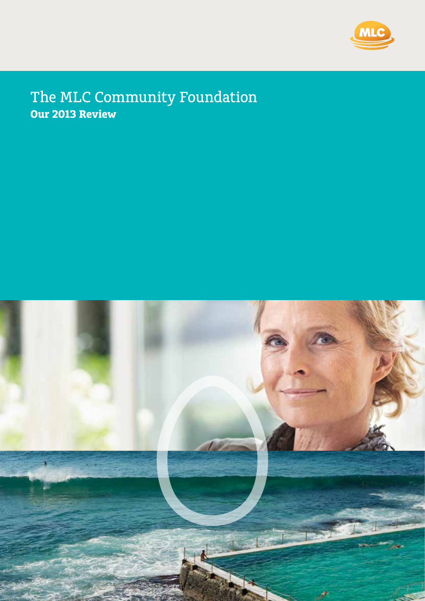

# The MLC Community Foundation **Our 2013 Review**



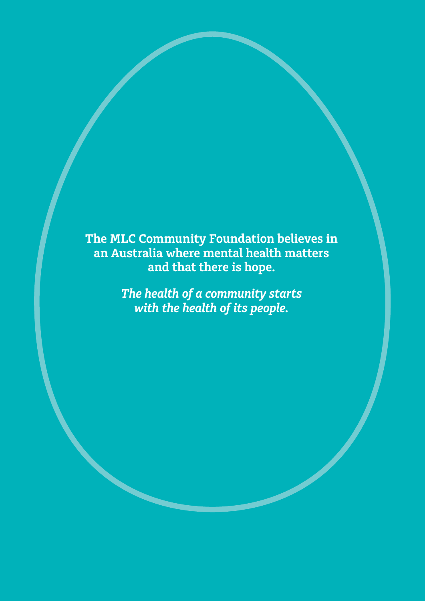**The MLC Community Foundation believes in an Australia where mental health matters and that there is hope.**

> *The health of a community starts with the health of its people.*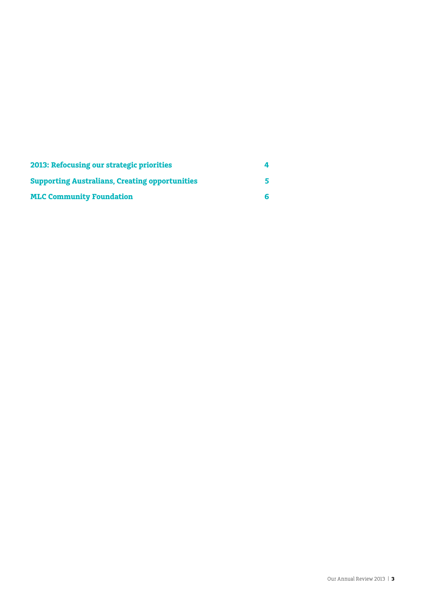| 2013: Refocusing our strategic priorities             |  |
|-------------------------------------------------------|--|
| <b>Supporting Australians, Creating opportunities</b> |  |
| <b>MLC Community Foundation</b>                       |  |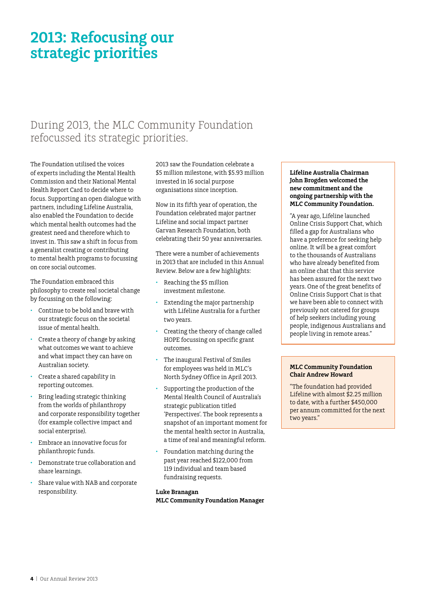# **2013: Refocusing our strategic priorities**

# During 2013, the MLC Community Foundation refocussed its strategic priorities.

The Foundation utilised the voices of experts including the Mental Health Commission and their National Mental Health Report Card to decide where to focus. Supporting an open dialogue with partners, including Lifeline Australia, also enabled the Foundation to decide which mental health outcomes had the greatest need and therefore which to invest in. This saw a shift in focus from a generalist creating or contributing to mental health programs to focussing on core social outcomes.

The Foundation embraced this philosophy to create real societal change by focussing on the following:

- Continue to be bold and brave with our strategic focus on the societal issue of mental health.
- • Create a theory of change by asking what outcomes we want to achieve and what impact they can have on Australian society.
- Create a shared capability in reporting outcomes.
- Bring leading strategic thinking from the worlds of philanthropy and corporate responsibility together (for example collective impact and social enterprise).
- Embrace an innovative focus for philanthropic funds.
- Demonstrate true collaboration and share learnings.
- Share value with NAB and corporate responsibility.

2013 saw the Foundation celebrate a \$5 million milestone, with \$5.93 million invested in 16 social purpose organisations since inception.

Now in its fifth year of operation, the Foundation celebrated major partner Lifeline and social impact partner Garvan Research Foundation, both celebrating their 50 year anniversaries.

There were a number of achievements in 2013 that are included in this Annual Review. Below are a few highlights:

- Reaching the \$5 million investment milestone.
- Extending the major partnership with Lifeline Australia for a further two years.
- Creating the theory of change called HOPE focussing on specific grant outcomes.
- The inaugural Festival of Smiles for employees was held in MLC's North Sydney Office in April 2013.
- Supporting the production of the Mental Health Council of Australia's strategic publication titled 'Perspectives'. The book represents a snapshot of an important moment for the mental health sector in Australia, a time of real and meaningful reform.
- Foundation matching during the past year reached \$122,000 from 119 individual and team based fundraising requests.

# **Luke Branagan MLC Community Foundation Manager**

#### **Lifeline Australia Chairman John Brogden welcomed the new commitment and the ongoing partnership with the MLC Community Foundation.**

"A year ago, Lifeline launched Online Crisis Support Chat, which filled a gap for Australians who have a preference for seeking help online. It will be a great comfort to the thousands of Australians who have already benefited from an online chat that this service has been assured for the next two years. One of the great benefits of Online Crisis Support Chat is that we have been able to connect with previously not catered for groups of help seekers including young people, indigenous Australians and people living in remote areas."

#### **MLC Community Foundation Chair Andrew Howard**

"The foundation had provided Lifeline with almost \$2.25 million to date, with a further \$450,000 per annum committed for the next two years."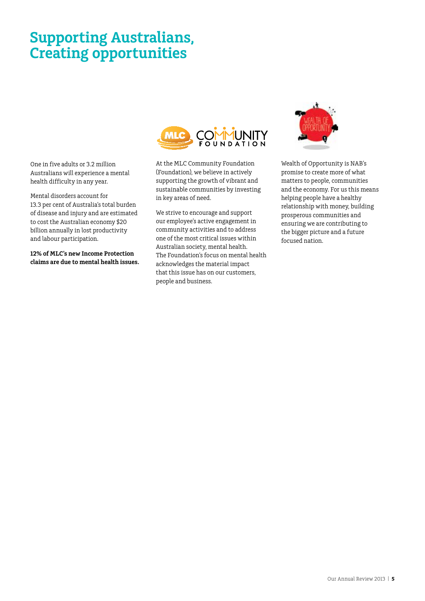# **Supporting Australians, Creating opportunities**

One in five adults or 3.2 million Australians will experience a mental health difficulty in any year.

Mental disorders account for 13.3 per cent of Australia's total burden of disease and injury and are estimated to cost the Australian economy \$20 billion annually in lost productivity and labour participation.

**12% of MLC's new Income Protection claims are due to mental health issues.**



At the MLC Community Foundation (Foundation), we believe in actively supporting the growth of vibrant and sustainable communities by investing in key areas of need.

We strive to encourage and support our employee's active engagement in community activities and to address one of the most critical issues within Australian society, mental health. The Foundation's focus on mental health acknowledges the material impact that this issue has on our customers, people and business.



Wealth of Opportunity is NAB's promise to create more of what matters to people, communities and the economy. For us this means helping people have a healthy relationship with money, building prosperous communities and ensuring we are contributing to the bigger picture and a future focused nation.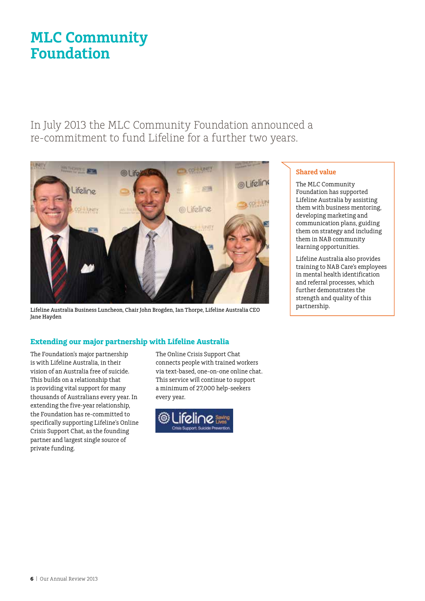# **MLC Community Foundation**

In July 2013 the MLC Community Foundation announced a re‑commitment to fund Lifeline for a further two years.



Lifeline Australia Business Luncheon, Chair John Brogden, Ian Thorpe, Lifeline Australia CEO Jane Hayden

# **Extending our major partnership with Lifeline Australia**

The Foundation's major partnership is with Lifeline Australia, in their vision of an Australia free of suicide. This builds on a relationship that is providing vital support for many thousands of Australians every year. In extending the five-year relationship, the Foundation has re-committed to specifically supporting Lifeline's Online Crisis Support Chat, as the founding partner and largest single source of private funding.

The Online Crisis Support Chat connects people with trained workers via text-based, one-on-one online chat. This service will continue to support a minimum of 27,000 help-seekers every year.



# **Shared value**

The MLC Community Foundation has supported Lifeline Australia by assisting them with business mentoring, developing marketing and communication plans, guiding them on strategy and including them in NAB community learning opportunities.

Lifeline Australia also provides training to NAB Care's employees in mental health identification and referral processes, which further demonstrates the strength and quality of this partnership.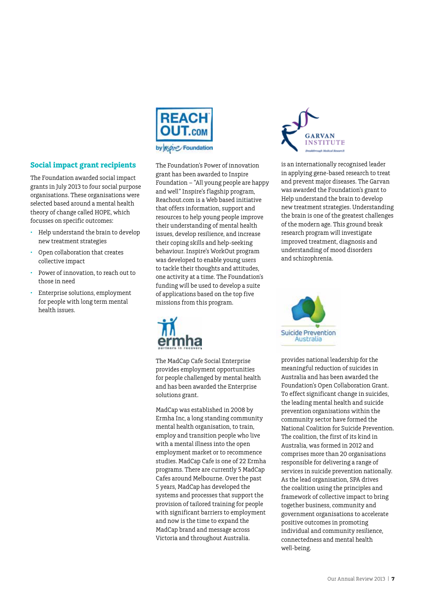

# by Mypine Foundation

# **Social impact grant recipients**

The Foundation awarded social impact grants in July 2013 to four social purpose organisations. These organisations were selected based around a mental health theory of change called HOPE, which focusses on specific outcomes:

- Help understand the brain to develop new treatment strategies
- Open collaboration that creates collective impact
- Power of innovation, to reach out to those in need
- Enterprise solutions, employment for people with long term mental health issues.

The Foundation's Power of innovation grant has been awarded to Inspire Foundation – "All young people are happy and well" Inspire's flagship program, Reachout.com is a Web based initiative that offers information, support and resources to help young people improve their understanding of mental health issues, develop resilience, and increase their coping skills and help-seeking behaviour. Inspire's WorkOut program was developed to enable young users to tackle their thoughts and attitudes, one activity at a time. The Foundation's funding will be used to develop a suite of applications based on the top five missions from this program.



The MadCap Cafe Social Enterprise provides employment opportunities for people challenged by mental health and has been awarded the Enterprise solutions grant.

MadCap was established in 2008 by Ermha Inc, a long standing community mental health organisation, to train, employ and transition people who live with a mental illness into the open employment market or to recommence studies. MadCap Cafe is one of 22 Ermha programs. There are currently 5 MadCap Cafes around Melbourne. Over the past 5 years, MadCap has developed the systems and processes that support the provision of tailored training for people with significant barriers to employment and now is the time to expand the MadCap brand and message across Victoria and throughout Australia.



is an internationally recognised leader in applying gene-based research to treat and prevent major diseases. The Garvan was awarded the Foundation's grant to Help understand the brain to develop new treatment strategies. Understanding the brain is one of the greatest challenges of the modern age. This ground break research program will investigate improved treatment, diagnosis and understanding of mood disorders and schizophrenia.



provides national leadership for the meaningful reduction of suicides in Australia and has been awarded the Foundation's Open Collaboration Grant. To effect significant change in suicides, the leading mental health and suicide prevention organisations within the community sector have formed the National Coalition for Suicide Prevention. The coalition, the first of its kind in Australia, was formed in 2012 and comprises more than 20 organisations responsible for delivering a range of services in suicide prevention nationally. As the lead organisation, SPA drives the coalition using the principles and framework of collective impact to bring together business, community and government organisations to accelerate positive outcomes in promoting individual and community resilience, connectedness and mental health well-being.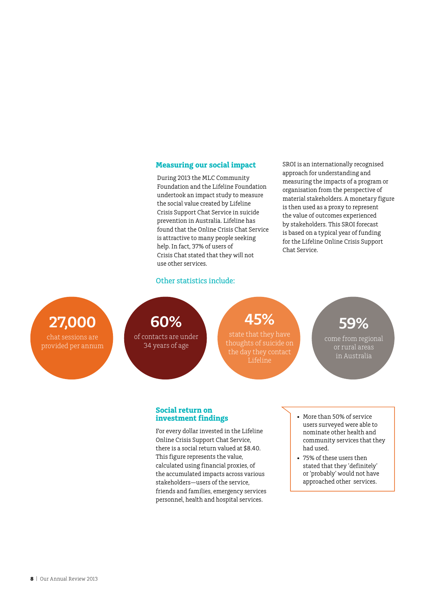#### **Measuring our social impact**

During 2013 the MLC Community Foundation and the Lifeline Foundation undertook an impact study to measure the social value created by Lifeline Crisis Support Chat Service in suicide prevention in Australia. Lifeline has found that the Online Crisis Chat Service is attractive to many people seeking help. In fact, 37% of users of Crisis Chat stated that they will not use other services.

SROI is an internationally recognised approach for understanding and measuring the impacts of a program or organisation from the perspective of material stakeholders. A monetary figure is then used as a proxy to represent the value of outcomes experienced by stakeholders. This SROI forecast is based on a typical year of funding for the Lifeline Online Crisis Support Chat Service.

# Other statistics include:

**27,000**

provided per annum



of contacts are under 34 years of age

# **45%**

state that they have thoughts of suicide on Lifeline

**59%**

come from regional or rural areas in Australia

#### **Social return on investment findings**

For every dollar invested in the Lifeline Online Crisis Support Chat Service, there is a social return valued at \$8.40. This figure represents the value, calculated using financial proxies, of the accumulated impacts across various stakeholders—users of the service, friends and families, emergency services personnel, health and hospital services.

- • More than 50% of service users surveyed were able to nominate other health and community services that they had used.
- • 75% of these users then stated that they 'definitely' or 'probably' would not have approached other services.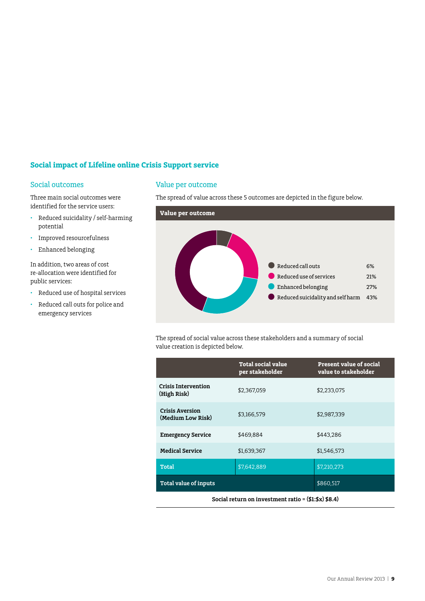# **Social impact of Lifeline online Crisis Support service**

### Social outcomes

Three main social outcomes were identified for the service users:

- • Reduced suicidality / self-harming potential
- • Improved resourcefulness
- • Enhanced belonging

In addition, two areas of cost re-allocation were identified for public services:

- • Reduced use of hospital services
- • Reduced call outs for police and emergency services

#### Value per outcome

The spread of value across these 5 outcomes are depicted in the figure below.



The spread of social value across these stakeholders and a summary of social value creation is depicted below.

|                                             | <b>Total social value</b><br>per stakeholder | <b>Present value of social</b><br>value to stakeholder |
|---------------------------------------------|----------------------------------------------|--------------------------------------------------------|
| <b>Crisis Intervention</b><br>(High Risk)   | \$2,367,059                                  | \$2,233,075                                            |
| <b>Crisis Aversion</b><br>(Medium Low Risk) | \$3,166,579                                  | \$2,987,339                                            |
| <b>Emergency Service</b>                    | \$469,884                                    | \$443.286                                              |
| <b>Medical Service</b>                      | \$1,639,367                                  | \$1,546,573                                            |
| <b>Total</b>                                | \$7,642,889                                  | \$7,210,273                                            |
| Total value of inputs                       |                                              | \$860,517                                              |

**Social return on investment ratio = (\$1:\$x) \$8.4)**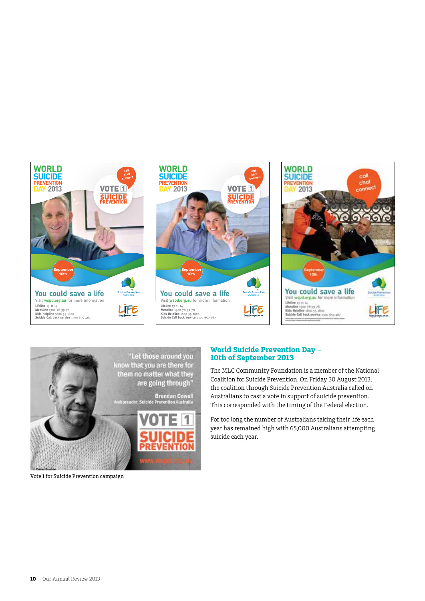



#### **World Suicide Prevention Day – 10th of September 2013**

The MLC Community Foundation is a member of the National Coalition for Suicide Prevention. On Friday 30 August 2013, the coalition through Suicide Prevention Australia called on Australians to cast a vote in support of suicide prevention. This corresponded with the timing of the Federal election.

For too long the number of Australians taking their life each year has remained high with 65,000 Australians attempting suicide each year.

Vote 1 for Suicide Prevention campaign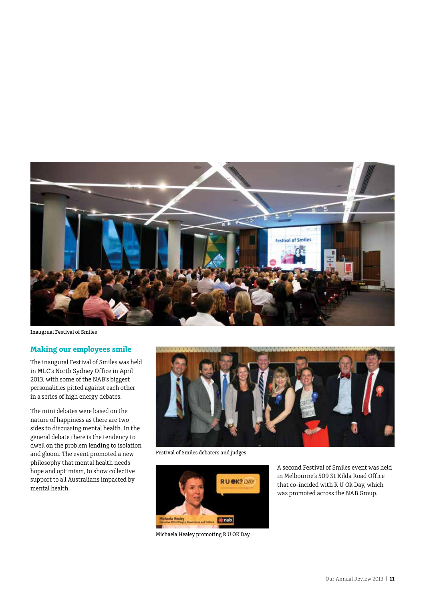

Inaugrual Festival of Smiles

#### **Making our employees smile**

The inaugural Festival of Smiles was held in MLC's North Sydney Office in April 2013, with some of the NAB's biggest personalities pitted against each other in a series of high energy debates.

The mini debates were based on the nature of happiness as there are two sides to discussing mental health. In the general debate there is the tendency to dwell on the problem lending to isolation and gloom. The event promoted a new philosophy that mental health needs hope and optimism, to show collective support to all Australians impacted by mental health.



Festival of Smiles debaters and judges



Michaela Healey promoting R U OK Day

A second Festival of Smiles event was held in Melbourne's 509 St Kilda Road Office that co-incided with R U Ok Day, which was promoted across the NAB Group.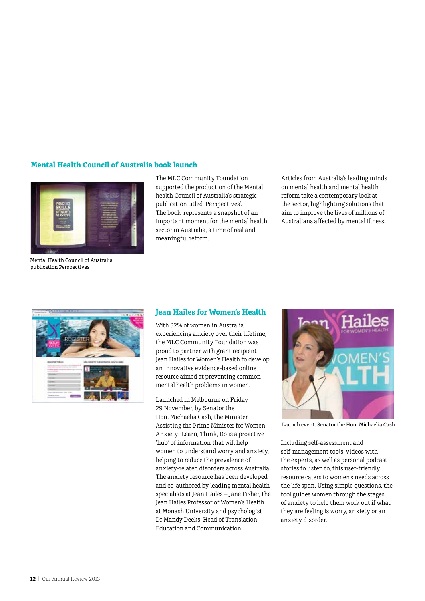# **Mental Health Council of Australia book launch**



Mental Health Council of Australia publication Perspectives

The MLC Community Foundation supported the production of the Mental health Council of Australia's strategic publication titled 'Perspectives'. The book represents a snapshot of an important moment for the mental health sector in Australia, a time of real and meaningful reform.

Articles from Australia's leading minds on mental health and mental health reform take a contemporary look at the sector, highlighting solutions that aim to improve the lives of millions of Australians affected by mental illness.



## **Jean Hailes for Women's Health**

With 32% of women in Australia experiencing anxiety over their lifetime, the MLC Community Foundation was proud to partner with grant recipient Jean Hailes for Women's Health to develop an innovative evidence-based online resource aimed at preventing common mental health problems in women.

Launched in Melbourne on Friday 29 November, by Senator the Hon. Michaelia Cash, the Minister Assisting the Prime Minister for Women, Anxiety: Learn, Think, Do is a proactive 'hub' of information that will help women to understand worry and anxiety, helping to reduce the prevalence of anxiety-related disorders across Australia. The anxiety resource has been developed and co-authored by leading mental health specialists at Jean Hailes – Jane Fisher, the Jean Hailes Professor of Women's Health at Monash University and psychologist Dr Mandy Deeks, Head of Translation, Education and Communication.



Launch event: Senator the Hon. Michaelia Cash

Including self-assessment and self-management tools, videos with the experts, as well as personal podcast stories to listen to, this user-friendly resource caters to women's needs across the life span. Using simple questions, the tool guides women through the stages of anxiety to help them work out if what they are feeling is worry, anxiety or an anxiety disorder.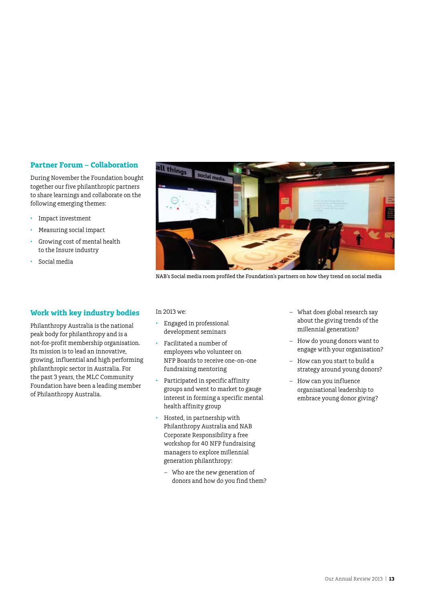### **Partner Forum – Collaboration**

During November the Foundation bought together our five philanthropic partners to share learnings and collaborate on the following emerging themes:

- • Impact investment
- • Measuring social impact
- Growing cost of mental health to the Insure industry
- • Social media

### **Work with key industry bodies**

Philanthropy Australia is the national peak body for philanthropy and is a not-for-profit membership organisation. Its mission is to lead an innovative, growing, influential and high performing philanthropic sector in Australia. For the past 3 years, the MLC Community Foundation have been a leading member of Philanthropy Australia.



NAB's Social media room profiled the Foundation's partners on how they trend on social media

In 2013 we:

- Engaged in professional development seminars
- Facilitated a number of employees who volunteer on NFP Boards to receive one-on-one fundraising mentoring
- • Participated in specific affinity groups and went to market to gauge interest in forming a specific mental health affinity group
- Hosted, in partnership with Philanthropy Australia and NAB Corporate Responsibility a free workshop for 40 NFP fundraising managers to explore millennial generation philanthropy:
	- Who are the new generation of donors and how do you find them?
- What does global research say about the giving trends of the millennial generation?
- How do young donors want to engage with your organisation?
- How can you start to build a strategy around young donors?
- How can you influence organisational leadership to embrace young donor giving?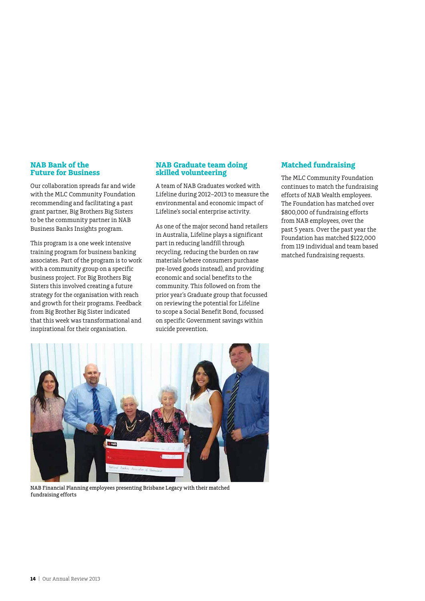#### **NAB Bank of the Future for Business**

Our collaboration spreads far and wide with the MLC Community Foundation recommending and facilitating a past grant partner, Big Brothers Big Sisters to be the community partner in NAB Business Banks Insights program.

This program is a one week intensive training program for business banking associates. Part of the program is to work with a community group on a specific business project. For Big Brothers Big Sisters this involved creating a future strategy for the organisation with reach and growth for their programs. Feedback from Big Brother Big Sister indicated that this week was transformational and inspirational for their organisation.

#### **NAB Graduate team doing skilled volunteering**

A team of NAB Graduates worked with Lifeline during 2012–2013 to measure the environmental and economic impact of Lifeline's social enterprise activity.

As one of the major second hand retailers in Australia, Lifeline plays a significant part in reducing landfill through recycling, reducing the burden on raw materials (where consumers purchase pre-loved goods instead), and providing economic and social benefits to the community. This followed on from the prior year's Graduate group that focussed on reviewing the potential for Lifeline to scope a Social Benefit Bond, focussed on specific Government savings within suicide prevention.

### **Matched fundraising**

The MLC Community Foundation continues to match the fundraising efforts of NAB Wealth employees. The Foundation has matched over \$800,000 of fundraising efforts from NAB employees, over the past 5 years. Over the past year the Foundation has matched \$122,000 from 119 individual and team based matched fundraising requests.



NAB Financial Planning employees presenting Brisbane Legacy with their matched fundraising efforts